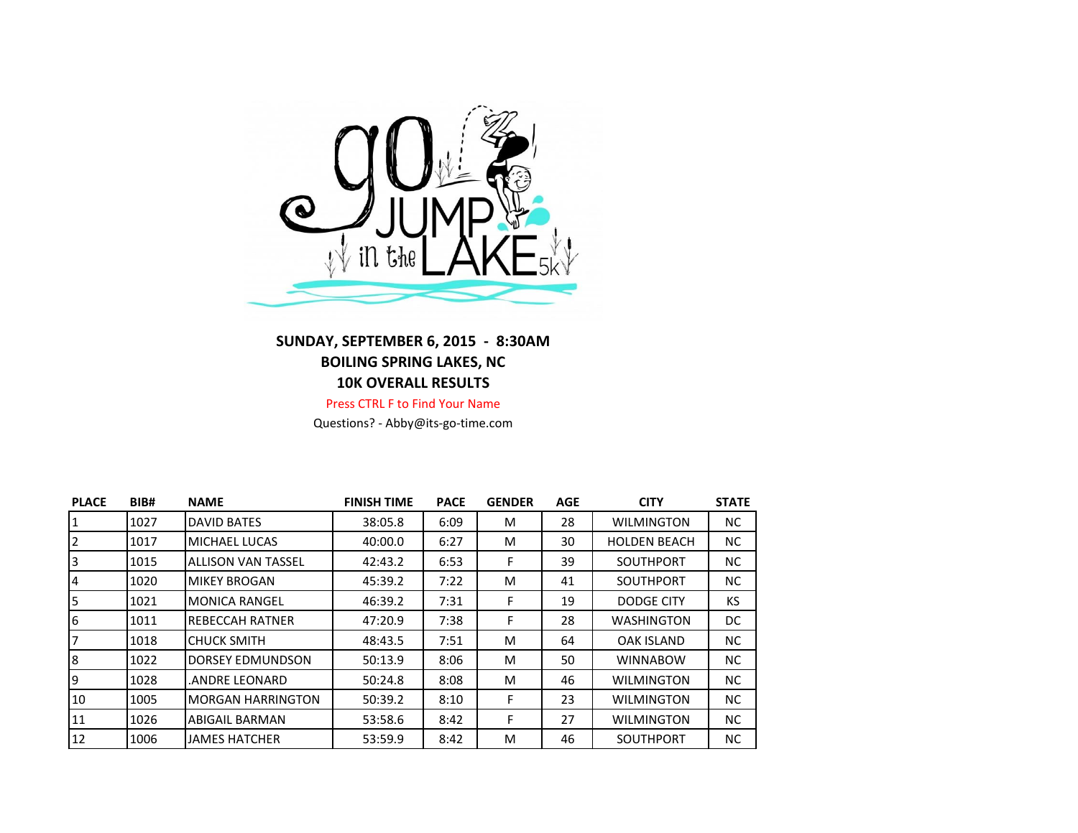

## **SUNDAY, SEPTEMBER 6, 2015 - 8:30AM BOILING SPRING LAKES, NC 10K OVERALL RESULTS**

Press CTRL F to Find Your Name

Questions? - Abby@its-go-time.com

| <b>PLACE</b> | BIB# | <b>NAME</b>               | <b>FINISH TIME</b> | <b>PACE</b> | <b>GENDER</b> | <b>AGE</b> | <b>CITY</b>         | <b>STATE</b> |
|--------------|------|---------------------------|--------------------|-------------|---------------|------------|---------------------|--------------|
| $\mathbf{1}$ | 1027 | <b>DAVID BATES</b>        | 38:05.8            | 6:09        | M             | 28         | <b>WILMINGTON</b>   | NC.          |
| 2            | 1017 | MICHAEL LUCAS             | 40:00.0            | 6:27        | M             | 30         | <b>HOLDEN BEACH</b> | NC.          |
| 3            | 1015 | <b>ALLISON VAN TASSEL</b> | 42:43.2            | 6:53        | F             | 39         | <b>SOUTHPORT</b>    | NC.          |
| 4            | 1020 | <b>MIKEY BROGAN</b>       | 45:39.2            | 7:22        | M             | 41         | SOUTHPORT           | NC.          |
| 5            | 1021 | <b>MONICA RANGEL</b>      | 46:39.2            | 7:31        | F             | 19         | DODGE CITY          | KS           |
| 6            | 1011 | REBECCAH RATNER           | 47:20.9            | 7:38        | F             | 28         | <b>WASHINGTON</b>   | DC           |
| 7            | 1018 | <b>CHUCK SMITH</b>        | 48:43.5            | 7:51        | M             | 64         | <b>OAK ISLAND</b>   | NC.          |
| 8            | 1022 | <b>DORSEY EDMUNDSON</b>   | 50:13.9            | 8:06        | M             | 50         | <b>WINNABOW</b>     | NC.          |
| 9            | 1028 | ANDRE LEONARD.            | 50:24.8            | 8:08        | M             | 46         | <b>WILMINGTON</b>   | NC.          |
| 10           | 1005 | <b>MORGAN HARRINGTON</b>  | 50:39.2            | 8:10        | F             | 23         | <b>WILMINGTON</b>   | NC.          |
| 11           | 1026 | <b>ABIGAIL BARMAN</b>     | 53:58.6            | 8:42        | F             | 27         | <b>WILMINGTON</b>   | NC.          |
| 12           | 1006 | <b>JAMES HATCHER</b>      | 53:59.9            | 8:42        | м             | 46         | <b>SOUTHPORT</b>    | NC.          |